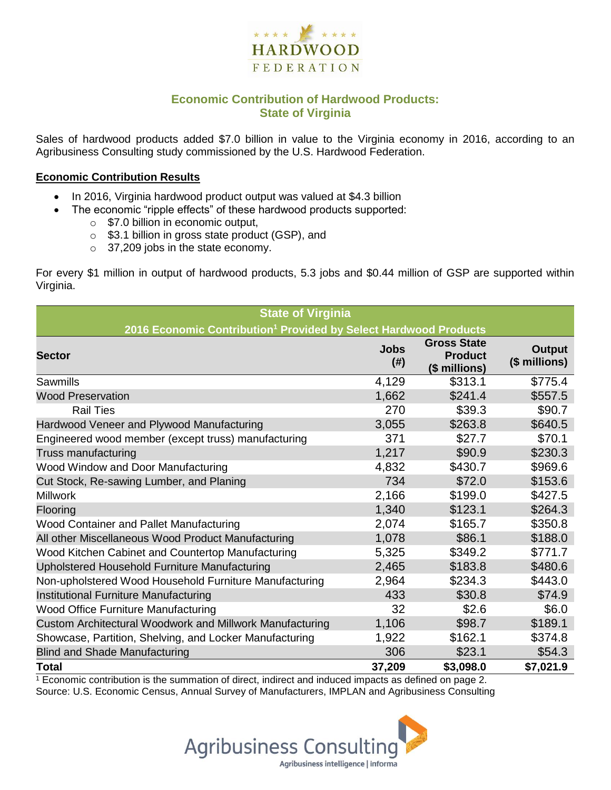

# **Economic Contribution of Hardwood Products: State of Virginia**

Sales of hardwood products added \$7.0 billion in value to the Virginia economy in 2016, according to an Agribusiness Consulting study commissioned by the U.S. Hardwood Federation.

#### **Economic Contribution Results**

- In 2016, Virginia hardwood product output was valued at \$4.3 billion
	- The economic "ripple effects" of these hardwood products supported:
		- o \$7.0 billion in economic output,
		- o \$3.1 billion in gross state product (GSP), and
		- o 37,209 jobs in the state economy.

For every \$1 million in output of hardwood products, 5.3 jobs and \$0.44 million of GSP are supported within Virginia.

| <b>State of Virginia</b>                                                     |                     |                                                       |                                |  |  |  |  |
|------------------------------------------------------------------------------|---------------------|-------------------------------------------------------|--------------------------------|--|--|--|--|
| 2016 Economic Contribution <sup>1</sup> Provided by Select Hardwood Products |                     |                                                       |                                |  |  |  |  |
| <b>Sector</b>                                                                | <b>Jobs</b><br>(# ) | <b>Gross State</b><br><b>Product</b><br>(\$ millions) | <b>Output</b><br>(\$ millions) |  |  |  |  |
| Sawmills                                                                     | 4,129               | \$313.1                                               | \$775.4                        |  |  |  |  |
| <b>Wood Preservation</b>                                                     | 1,662               | \$241.4                                               | \$557.5                        |  |  |  |  |
| <b>Rail Ties</b>                                                             | 270                 | \$39.3                                                | \$90.7                         |  |  |  |  |
| Hardwood Veneer and Plywood Manufacturing                                    | 3,055               | \$263.8                                               | \$640.5                        |  |  |  |  |
| Engineered wood member (except truss) manufacturing                          | 371                 | \$27.7                                                | \$70.1                         |  |  |  |  |
| Truss manufacturing                                                          | 1,217               | \$90.9                                                | \$230.3                        |  |  |  |  |
| Wood Window and Door Manufacturing                                           | 4,832               | \$430.7                                               | \$969.6                        |  |  |  |  |
| Cut Stock, Re-sawing Lumber, and Planing                                     | 734                 | \$72.0                                                | \$153.6                        |  |  |  |  |
| <b>Millwork</b>                                                              | 2,166               | \$199.0                                               | \$427.5                        |  |  |  |  |
| Flooring                                                                     | 1,340               | \$123.1                                               | \$264.3                        |  |  |  |  |
| Wood Container and Pallet Manufacturing                                      | 2,074               | \$165.7                                               | \$350.8                        |  |  |  |  |
| All other Miscellaneous Wood Product Manufacturing                           | 1,078               | \$86.1                                                | \$188.0                        |  |  |  |  |
| Wood Kitchen Cabinet and Countertop Manufacturing                            | 5,325               | \$349.2                                               | \$771.7                        |  |  |  |  |
| Upholstered Household Furniture Manufacturing                                | 2,465               | \$183.8                                               | \$480.6                        |  |  |  |  |
| Non-upholstered Wood Household Furniture Manufacturing                       | 2,964               | \$234.3                                               | \$443.0                        |  |  |  |  |
| Institutional Furniture Manufacturing                                        | 433                 | \$30.8                                                | \$74.9                         |  |  |  |  |
| Wood Office Furniture Manufacturing                                          | 32                  | \$2.6                                                 | \$6.0                          |  |  |  |  |
| Custom Architectural Woodwork and Millwork Manufacturing                     | 1,106               | \$98.7                                                | \$189.1                        |  |  |  |  |
| Showcase, Partition, Shelving, and Locker Manufacturing                      | 1,922               | \$162.1                                               | \$374.8                        |  |  |  |  |
| <b>Blind and Shade Manufacturing</b>                                         | 306                 | \$23.1                                                | \$54.3                         |  |  |  |  |
| <b>Total</b>                                                                 | 37,209              | \$3,098.0                                             | \$7,021.9                      |  |  |  |  |

 $1$  Economic contribution is the summation of direct, indirect and induced impacts as defined on page 2. Source: U.S. Economic Census, Annual Survey of Manufacturers, IMPLAN and Agribusiness Consulting